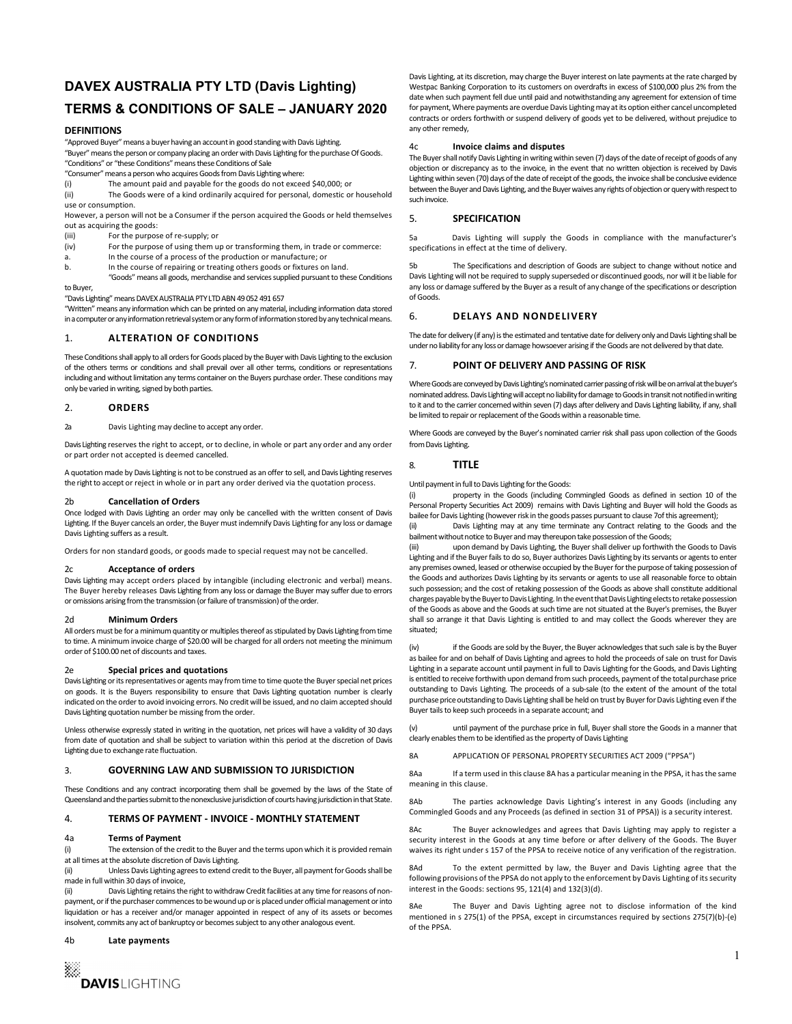# DAVEX AUSTRALIA PTY LTD (Davis Lighting) TERMS & CONDITIONS OF SALE – JANUARY 2020

#### DEFINITIONS

"Approved Buyer" means a buyer having an account in good standing with Davis Lighting.

"Buyer" means the person or company placing an order with Davis Lighting for the purchase Of Goods. "Conditions" or "these Conditions" means these Conditions of Sale

"Consumer" means a person who acquires Goods from Davis Lighting where:

The amount paid and payable for the goods do not exceed \$40,000; or

(ii) The Goods were of a kind ordinarily acquired for personal, domestic or household use or consumption.

However, a person will not be a Consumer if the person acquired the Goods or held themselves out as acquiring the goods:<br>(iii) For the purpos

- 
- For the purpose of re-supply; or<br>For the purpose of using them up or transforming them, in trade or commerce: (iv) For the purpose of using them up or transforming them, in trade a. In the course of a process of the production or manufacture; or
- 
- b. In the course of repairing or treating others goods or fixtures on land.

 "Goods" means all goods, merchandise and services supplied pursuant to these Conditions to Buyer,

"Davis Lighting" means DAVEX AUSTRALIA PTY LTD ABN 49 052 491 657

"Written" means any information which can be printed on any material, including information data stored<br>in a computer or any information retrieval system or any form of information stored by any technical means \_\_\_ in a computer or any information retrieval system or any form of information stored by any technical means.

### 1. ALTERATION OF CONDITIONS

These Conditions shall apply to all orders for Goods placed by the Buyer with Davis Lighting to the exclusion<br>of the others terms or conditions and shall prevail over all other terms, conditions or representations of the others terms or conditions and shall prevail over all other terms, conditions or representations including and without limitation any terms container on the Buyers purchase order. These conditions may only be varied in writing, signed by both parties.

#### 2. ORDERS

2a Davis Lighting may decline to accept any order.

Davis Lighting reserves the right to accept, or to decline, in whole or part any order and any order from Davis Lighting. or part order not accepted is deemed cancelled.

A quotation made by Davis Lighting is not to be construed as an offer to sell, and Davis Lighting reserves the right to accept or reject in whole or in part any order derived via the quotation process.

#### 2b Cancellation of Orders

Once lodged with Davis Lighting an order may only be cancelled with the written consent of Davis Lighting. If the Buyer cancels an order, the Buyer must indemnify Davis Lighting for any loss or damage (ii) Davis Lighting suffers as a result.

Orders for non standard goods, or goods made to special request may not be cancelled.

#### 2c Acceptance of orders

Davis Lighting may accept orders placed by intangible (including electronic and verbal) means. The Buyer hereby releases Davis Lighting from any loss or damage the Buyer may suffer due to errors or omissions arising from the transmission (or failure of transmission) of the order.

#### 2d Minimum Orders

All orders must be for a minimum quantity or multiples thereof as stipulated by Davis Lighting from time to time. A minimum invoice charge of \$20.00 will be charged for all orders not meeting the minimum  $\frac{1}{N}$ order of \$100.00 net of discounts and taxes.

#### 2e Special prices and quotations

Davis Lighting or its representatives or agents may from time to time quote the Buyer special net prices on goods. It is the Buyers responsibility to ensure that Davis Lighting quotation number is clearly indicated on the order to avoid invoicing errors. No credit will be issued, and no claim accepted should Davis Lighting quotation number be missing from the order.

Unless otherwise expressly stated in writing in the quotation, net prices will have a validity of 30 days (v) from date of quotation and shall be subject to variation within this period at the discretion of Davis Lighting due to exchange rate fluctuation.

#### 3. **GOVERNING LAW AND SUBMISSION TO JURISDICTION**

These Conditions and any contract incorporating them shall be governed by the laws of the State of Queensland and the parties submit to the nonexclusive jurisdiction of courts having jurisdiction in that State. <br>8Ab

# 4. TERMS OF PAYMENT - INVOICE - MONTHLY STATEMENT

#### 4a Terms of Payment

(i) The extension of the credit to the Buyer and the terms upon which it is provided remain at all times at the absolute discretion of Davis Lighting.

(ii) Unless Davis Lighting agrees to extend credit to the Buyer, all payment for Goods shall be 8Ad made in full within 30 days of invoice,

(ii) Davis Lighting retains the right to withdraw Credit facilities at any time for reasons of nonpayment, or if the purchaser commences to be wound up or is placed under official management or into liquidation or has a receiver and/or manager appointed in respect of any of its assets or becomes insolvent, commits any act of bankruptcy or becomes subject to any other analogous event.

#### 4b Late payments

Davis Lighting, at its discretion, may charge the Buyer interest on late payments at the rate charged by Westpac Banking Corporation to its customers on overdrafts in excess of \$100,000 plus 2% from the date when such payment fell due until paid and notwithstanding any agreement for extension of time for payment, Where payments are overdue Davis Lighting may at its option either cancel uncompleted contracts or orders forthwith or suspend delivery of goods yet to be delivered, without prejudice to any other remedy,

### Invoice claims and disputes

The Buyer shall notify Davis Lighting in writing within seven (7) days of the date of receipt of goods of any objection or discrepancy as to the invoice, in the event that no written objection is received by Davis Lighting within seven (70) days of the date of receipt of the goods, the invoice shall be conclusive evidence between the Buyer and Davis Lighting, and the Buyer waives any rights of objection or query with respect to such invoice.

#### **SPECIFICATION**

5a Davis Lighting will supply the Goods in compliance with the manufacturer's specifications in effect at the time of delivery.

The Specifications and description of Goods are subject to change without notice and Davis Lighting will not be required to supply superseded or discontinued goods, nor will it be liable for any loss or damage suffered by the Buyer as a result of any change of the specifications or description of Goods.

#### DELAYS AND NONDELIVERY

The date for delivery (if any) is the estimated and tentative date for delivery only and Davis Lighting shall be under no liability for any loss or damage howsoever arising if the Goods are not delivered by that date.

#### POINT OF DELIVERY AND PASSING OF RISK

Where Goods are conveyed by Davis Lighting's nominated carrier passing of risk will be on arrival at the buyer's nominated address. Davis Lighting will accept no liability for damage to Goods in transit not notified in writing to it and to the carrier concerned within seven (7) days after delivery and Davis Lighting liability, if any, shall be limited to repair or replacement of the Goods within a reasonable time.

Where Goods are conveyed by the Buyer's nominated carrier risk shall pass upon collection of the Goods from Davis Lighting.<br>8. **TITLE** 

Until payment in full to Davis Lighting for the Goods:

(i) property in the Goods (including Commingled Goods as defined in section 10 of the Personal Property Securities Act 2009) remains with Davis Lighting and Buyer will hold the Goods as bailee for Davis Lighting (however risk in the goods passes pursuant to clause 7of this agreement);

Davis Lighting may at any time terminate any Contract relating to the Goods and the bailment without notice to Buyer and may thereupon take possession of the Goods;

upon demand by Davis Lighting, the Buyer shall deliver up forthwith the Goods to Davis Lighting and if the Buyer fails to do so, Buyer authorizes Davis Lighting by its servants or agents to enter any premises owned, leased or otherwise occupied by the Buyer for the purpose of taking possession of the Goods and authorizes Davis Lighting by its servants or agents to use all reasonable force to obtain such possession; and the cost of retaking possession of the Goods as above shall constitute additional charges payable by the Buyer to Davis Lighting. In the event that Davis Lighting elects to retake possession of the Goods as above and the Goods at such time are not situated at the Buyer's premises, the Buyer shall so arrange it that Davis Lighting is entitled to and may collect the Goods wherever they are situated;

if the Goods are sold by the Buyer, the Buyer acknowledges that such sale is by the Buyer as bailee for and on behalf of Davis Lighting and agrees to hold the proceeds of sale on trust for Davis Lighting in a separate account until payment in full to Davis Lighting for the Goods, and Davis Lighting is entitled to receive forthwith upon demand from such proceeds, payment of the total purchase price outstanding to Davis Lighting. The proceeds of a sub-sale (to the extent of the amount of the total purchase price outstanding to Davis Lighting shall be held on trust by Buyer for Davis Lighting even if the Buyer tails to keep such proceeds in a separate account; and

until payment of the purchase price in full, Buyer shall store the Goods in a manner that clearly enables them to be identified as the property of Davis Lighting

8A APPLICATION OF PERSONAL PROPERTY SECURITIES ACT 2009 ("PPSA")

If a term used in this clause 8A has a particular meaning in the PPSA, it has the same meaning in this clause.

The parties acknowledge Davis Lighting's interest in any Goods (including any Commingled Goods and any Proceeds (as defined in section 31 of PPSA)) is a security interest.

The Buyer acknowledges and agrees that Davis Lighting may apply to register a security interest in the Goods at any time before or after delivery of the Goods. The Buyer waives its right under s 157 of the PPSA to receive notice of any verification of the registration.

To the extent permitted by law, the Buyer and Davis Lighting agree that the following provisions of the PPSA do not apply to the enforcement by Davis Lighting of its security interest in the Goods: sections 95, 121(4) and 132(3)(d).

The Buyer and Davis Lighting agree not to disclose information of the kind mentioned in s 275(1) of the PPSA, except in circumstances required by sections 275(7)(b)-(e) of the PPSA.